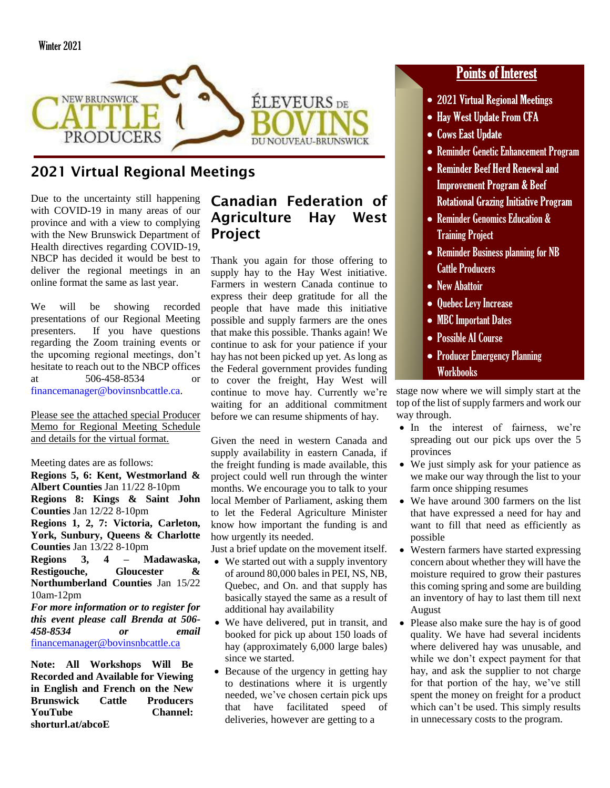

# 2021 Virtual Regional Meetings

Due to the uncertainty still happening with COVID-19 in many areas of our province and with a view to complying with the New Brunswick Department of Health directives regarding COVID-19, NBCP has decided it would be best to deliver the regional meetings in an online format the same as last year.

We will be showing recorded presentations of our Regional Meeting presenters. If you have questions regarding the Zoom training events or the upcoming regional meetings, don't hesitate to reach out to the NBCP offices at 506-458-8534 or [financemanager@bovinsnbcattle.ca.](mailto:financemanager@bovinsnbcattle.ca)

Please see the attached special Producer Memo for Regional Meeting Schedule and details for the virtual format.

Meeting dates are as follows:

**Regions 5, 6: Kent, Westmorland & Albert Counties** Jan 11/22 8-10pm **Regions 8: Kings & Saint John Counties** Jan 12/22 8-10pm **Regions 1, 2, 7: Victoria, Carleton, York, Sunbury, Queens & Charlotte Counties** Jan 13/22 8-10pm **Regions 3, 4 – Madawaska, Restigouche, Gloucester & Northumberland Counties** Jan 15/22 10am-12pm *For more information or to register for this event please call Brenda at 506-*

*458-8534 or email*  [financemanager@bovinsnbcattle.ca](mailto:financemanager@bovinsnbcattle.ca)

**Note: All Workshops Will Be Recorded and Available for Viewing in English and French on the New Brunswick Cattle Producers YouTube Channel: shorturl.at/abcoE**

## Canadian Federation of Agriculture Hay West Project

Thank you again for those offering to supply hay to the Hay West initiative. Farmers in western Canada continue to express their deep gratitude for all the people that have made this initiative possible and supply farmers are the ones that make this possible. Thanks again! We continue to ask for your patience if your hay has not been picked up yet. As long as the Federal government provides funding to cover the freight, Hay West will continue to move hay. Currently we're waiting for an additional commitment before we can resume shipments of hay.

Given the need in western Canada and supply availability in eastern Canada, if the freight funding is made available, this project could well run through the winter months. We encourage you to talk to your local Member of Parliament, asking them to let the Federal Agriculture Minister know how important the funding is and how urgently its needed.

Just a brief update on the movement itself.

- We started out with a supply inventory of around 80,000 bales in PEI, NS, NB, Quebec, and On. and that supply has basically stayed the same as a result of additional hay availability
- We have delivered, put in transit, and booked for pick up about 150 loads of hay (approximately 6,000 large bales) since we started.
- Because of the urgency in getting hay to destinations where it is urgently needed, we've chosen certain pick ups that have facilitated speed of deliveries, however are getting to a

## **Points of Interest**

- 2021 Virtual Regional Meetings
- Hay West Update From CFA
- Cows East Update
- Reminder Genetic Enhancement Program
- Reminder Beef Herd Renewal and **Improvement Program & Beef Rotational Grazing Initiative Program**
- Reminder Genomics Education & Training Project
- Reminder Business planning for NB Cattle Producers
- New Abattoir
- Quebec Levy Increase
- MBC Important Dates
- Possible AI Course
- Producer Emergency Planning Workbooks

stage now where we will simply start at the top of the list of supply farmers and work our way through.

- In the interest of fairness, we're spreading out our pick ups over the 5 provinces
- We just simply ask for your patience as we make our way through the list to your farm once shipping resumes
- We have around 300 farmers on the list that have expressed a need for hay and want to fill that need as efficiently as possible
- Western farmers have started expressing concern about whether they will have the moisture required to grow their pastures this coming spring and some are building an inventory of hay to last them till next August
- Please also make sure the hay is of good quality. We have had several incidents where delivered hay was unusable, and while we don't expect payment for that hay, and ask the supplier to not charge for that portion of the hay, we've still spent the money on freight for a product which can't be used. This simply results in unnecessary costs to the program.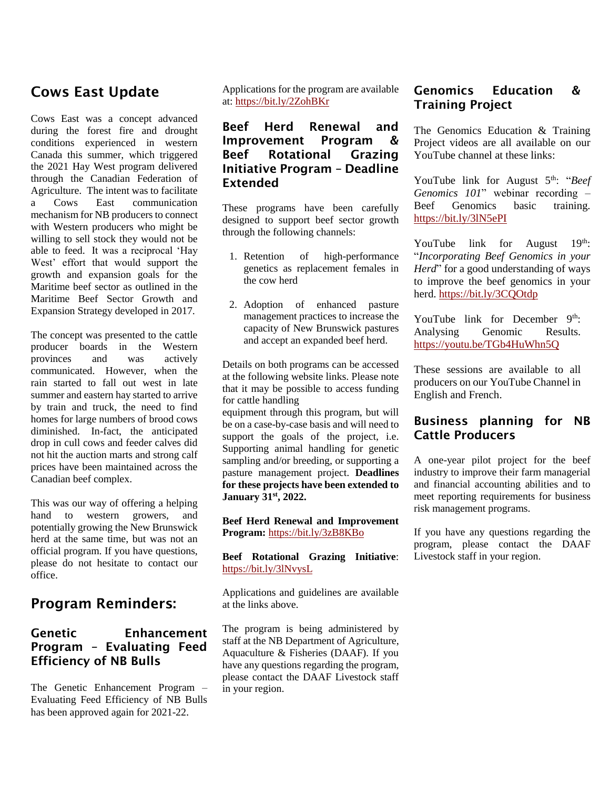## Cows East Update

Cows East was a concept advanced during the forest fire and drought conditions experienced in western Canada this summer, which triggered the 2021 Hay West program delivered through the Canadian Federation of Agriculture. The intent was to facilitate a Cows East communication mechanism for NB producers to connect with Western producers who might be willing to sell stock they would not be able to feed. It was a reciprocal 'Hay West' effort that would support the growth and expansion goals for the Maritime beef sector as outlined in the Maritime Beef Sector Growth and Expansion Strategy developed in 2017.

The concept was presented to the cattle producer boards in the Western provinces and was actively communicated. However, when the rain started to fall out west in late summer and eastern hay started to arrive by train and truck, the need to find homes for large numbers of brood cows diminished. In-fact, the anticipated drop in cull cows and feeder calves did not hit the auction marts and strong calf prices have been maintained across the Canadian beef complex.

This was our way of offering a helping hand to western growers, and potentially growing the New Brunswick herd at the same time, but was not an official program. If you have questions, please do not hesitate to contact our office.

## Program Reminders:

#### Genetic Enhancement Program – Evaluating Feed Efficiency of NB Bulls

The Genetic Enhancement Program – Evaluating Feed Efficiency of NB Bulls has been approved again for 2021-22.

Applications for the program are available at:<https://bit.ly/2ZohBKr>

#### Beef Herd Renewal and Improvement Program & Beef Rotational Grazing Initiative Program – Deadline Extended

These programs have been carefully designed to support beef sector growth through the following channels:

- 1. Retention of high-performance genetics as replacement females in the cow herd
- 2. Adoption of enhanced pasture management practices to increase the capacity of New Brunswick pastures and accept an expanded beef herd.

Details on both programs can be accessed at the following website links. Please note that it may be possible to access funding for cattle handling

equipment through this program, but will be on a case-by-case basis and will need to support the goals of the project, i.e. Supporting animal handling for genetic sampling and/or breeding, or supporting a pasture management project. **Deadlines for these projects have been extended to January 31st, 2022.**

**Beef Herd Renewal and Improvement Program:** <https://bit.ly/3zB8KBo>

**Beef Rotational Grazing Initiative**: <https://bit.ly/3lNvysL>

Applications and guidelines are available at the links above.

The program is being administered by staff at the NB Department of Agriculture, Aquaculture & Fisheries (DAAF). If you have any questions regarding the program, please contact the DAAF Livestock staff in your region.

#### Genomics Education & Training Project

The Genomics Education & Training Project videos are all available on our YouTube channel at these links:

YouTube link for August 5<sup>th</sup>: "*Beef Genomics 101*" webinar recording – Beef Genomics basic training. <https://bit.ly/3lN5ePI>

YouTube link for August  $19<sup>th</sup>$ : "*Incorporating Beef Genomics in your Herd*" for a good understanding of ways to improve the beef genomics in your herd. <https://bit.ly/3CQOtdp>

YouTube link for December 9<sup>th</sup>: Analysing Genomic Results. <https://youtu.be/TGb4HuWhn5Q>

These sessions are available to all producers on our YouTube Channel in English and French.

#### Business planning for NB Cattle Producers

A one-year pilot project for the beef industry to improve their farm managerial and financial accounting abilities and to meet reporting requirements for business risk management programs.

If you have any questions regarding the program, please contact the DAAF Livestock staff in your region.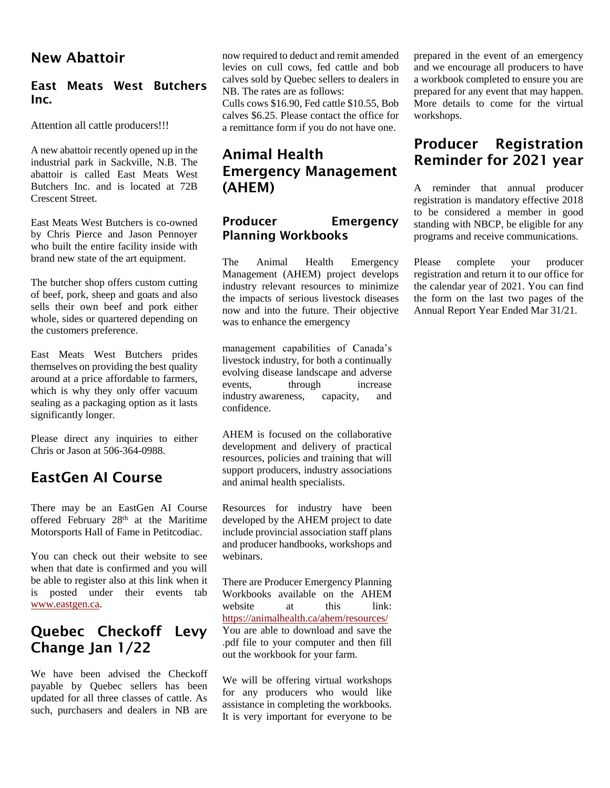#### New Abattoir

#### East Meats West Butchers Inc.

Attention all cattle producers!!!

A new abattoir recently opened up in the industrial park in Sackville, N.B. The abattoir is called East Meats West Butchers Inc. and is located at 72B Crescent Street.

East Meats West Butchers is co-owned by Chris Pierce and Jason Pennoyer who built the entire facility inside with brand new state of the art equipment.

The butcher shop offers custom cutting of beef, pork, sheep and goats and also sells their own beef and pork either whole, sides or quartered depending on the customers preference.

East Meats West Butchers prides themselves on providing the best quality around at a price affordable to farmers, which is why they only offer vacuum sealing as a packaging option as it lasts significantly longer.

Please direct any inquiries to either Chris or Jason at 506-364-0988.

#### EastGen AI Course

There may be an EastGen AI Course offered February 28<sup>th</sup> at the Maritime Motorsports Hall of Fame in Petitcodiac.

You can check out their website to see when that date is confirmed and you will be able to register also at this link when it is posted under their events tab [www.eastgen.ca.](http://www.eastgen.ca/)

## Quebec Checkoff Levy Change Jan 1/22

We have been advised the Checkoff payable by Quebec sellers has been updated for all three classes of cattle. As such, purchasers and dealers in NB are now required to deduct and remit amended levies on cull cows, fed cattle and bob calves sold by Quebec sellers to dealers in NB. The rates are as follows:

Culls cows \$16.90, Fed cattle \$10.55, Bob calves \$6.25. Please contact the office for a remittance form if you do not have one.

## Animal Health Emergency Management (AHEM)

#### Producer Emergency Planning Workbooks

The Animal Health Emergency Management (AHEM) project develops industry relevant resources to minimize the impacts of serious livestock diseases now and into the future. Their objective was to enhance the emergency

management capabilities of Canada's livestock industry, for both a continually evolving disease landscape and adverse events, through increase industry awareness, capacity, and confidence.

AHEM is focused on the collaborative development and delivery of practical resources, policies and training that will support producers, industry associations and animal health specialists.

Resources for industry have been developed by the AHEM project to date include provincial association staff plans and producer handbooks, workshops and webinars.

There are Producer Emergency Planning Workbooks available on the AHEM website at this link: <https://animalhealth.ca/ahem/resources/> You are able to download and save the .pdf file to your computer and then fill out the workbook for your farm.

We will be offering virtual workshops for any producers who would like assistance in completing the workbooks. It is very important for everyone to be

prepared in the event of an emergency and we encourage all producers to have a workbook completed to ensure you are prepared for any event that may happen. More details to come for the virtual workshops.

## Producer Registration Reminder for 2021 year

A reminder that annual producer registration is mandatory effective 2018 to be considered a member in good standing with NBCP, be eligible for any programs and receive communications.

Please complete your producer registration and return it to our office for the calendar year of 2021. You can find the form on the last two pages of the Annual Report Year Ended Mar 31/21.